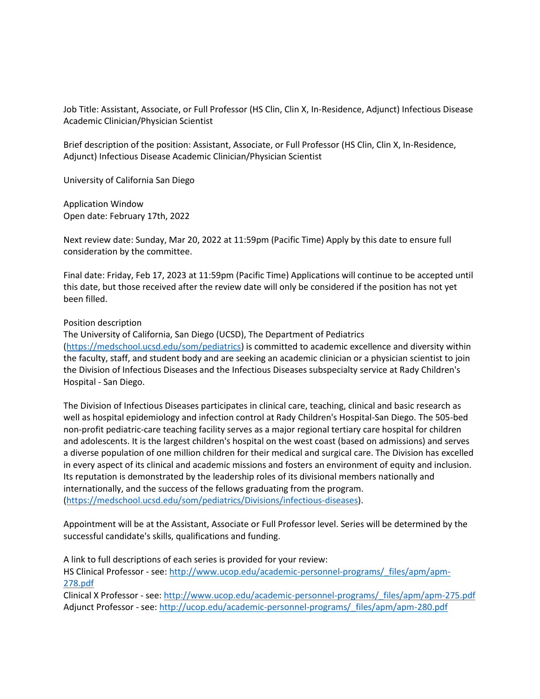Job Title: Assistant, Associate, or Full Professor (HS Clin, Clin X, In-Residence, Adjunct) Infectious Disease Academic Clinician/Physician Scientist

Brief description of the position: Assistant, Associate, or Full Professor (HS Clin, Clin X, In-Residence, Adjunct) Infectious Disease Academic Clinician/Physician Scientist

University of California San Diego

Application Window Open date: February 17th, 2022

Next review date: Sunday, Mar 20, 2022 at 11:59pm (Pacific Time) Apply by this date to ensure full consideration by the committee.

Final date: Friday, Feb 17, 2023 at 11:59pm (Pacific Time) Applications will continue to be accepted until this date, but those received after the review date will only be considered if the position has not yet been filled.

## Position description

The University of California, San Diego (UCSD), The Department of Pediatrics [\(https://medschool.ucsd.edu/som/pediatrics\)](https://medschool.ucsd.edu/som/pediatrics) is committed to academic excellence and diversity within the faculty, staff, and student body and are seeking an academic clinician or a physician scientist to join the Division of Infectious Diseases and the Infectious Diseases subspecialty service at Rady Children's Hospital - San Diego.

The Division of Infectious Diseases participates in clinical care, teaching, clinical and basic research as well as hospital epidemiology and infection control at Rady Children's Hospital-San Diego. The 505-bed non-profit pediatric-care teaching facility serves as a major regional tertiary care hospital for children and adolescents. It is the largest children's hospital on the west coast (based on admissions) and serves a diverse population of one million children for their medical and surgical care. The Division has excelled in every aspect of its clinical and academic missions and fosters an environment of equity and inclusion. Its reputation is demonstrated by the leadership roles of its divisional members nationally and internationally, and the success of the fellows graduating from the program. [\(https://medschool.ucsd.edu/som/pediatrics/Divisions/infectious-diseases\)](https://medschool.ucsd.edu/som/pediatrics/Divisions/infectious-diseases).

Appointment will be at the Assistant, Associate or Full Professor level. Series will be determined by the successful candidate's skills, qualifications and funding.

A link to full descriptions of each series is provided for your review:

HS Clinical Professor - see: [http://www.ucop.edu/academic-personnel-programs/\\_files/apm/apm-](http://www.ucop.edu/academic-personnel-programs/_files/apm/apm-278.pdf)[278.pdf](http://www.ucop.edu/academic-personnel-programs/_files/apm/apm-278.pdf)

Clinical X Professor - see: [http://www.ucop.edu/academic-personnel-programs/\\_files/apm/apm-275.pdf](http://www.ucop.edu/academic-personnel-programs/_files/apm/apm-275.pdf) Adjunct Professor - see[: http://ucop.edu/academic-personnel-programs/\\_files/apm/apm-280.pdf](http://ucop.edu/academic-personnel-programs/_files/apm/apm-280.pdf)